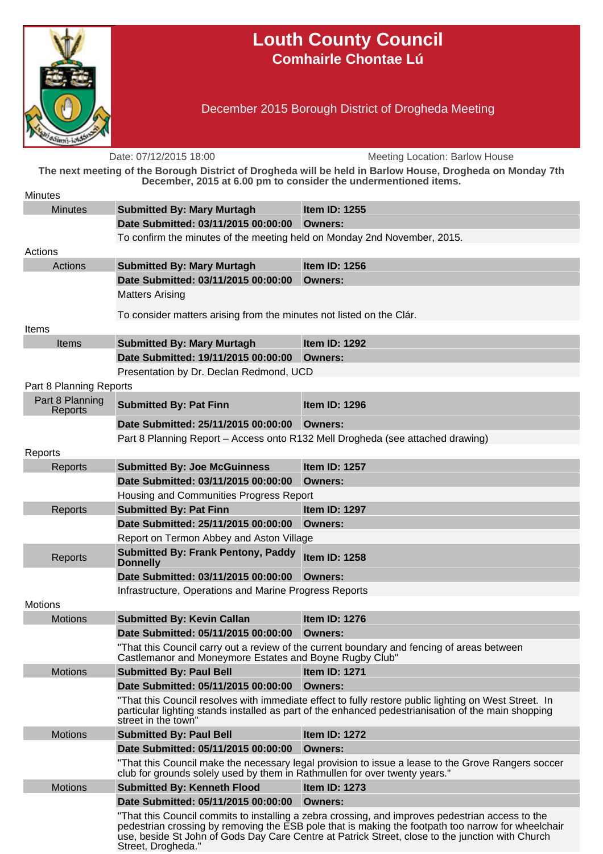

## **Louth County Council Comhairle Chontae Lú**

December 2015 Borough District of Drogheda Meeting

Date: 07/12/2015 18:00 Meeting Location: Barlow House **The next meeting of the Borough District of Drogheda will be held in Barlow House, Drogheda on Monday 7th December, 2015 at 6.00 pm to consider the undermentioned items. Minutes** Minutes **Submitted By: Mary Murtagh Item ID: 1255 Date Submitted: 03/11/2015 00:00:00 Owners:** To confirm the minutes of the meeting held on Monday 2nd November, 2015. Actions Actions **Submitted By: Mary Murtagh Item ID: 1256 Date Submitted: 03/11/2015 00:00:00 Owners:** Matters Arising To consider matters arising from the minutes not listed on the Clár. Items Items **Submitted By: Mary Murtagh Item ID: 1292 Date Submitted: 19/11/2015 00:00:00 Owners:** Presentation by Dr. Declan Redmond, UCD Part 8 Planning Reports Part 8 Planning Reports **Submitted By: Pat Finn Item ID: 1296 Date Submitted: 25/11/2015 00:00:00 Owners:** Part 8 Planning Report – Access onto R132 Mell Drogheda (see attached drawing) Reports Reports **Submitted By: Joe McGuinness Item ID: 1257 Date Submitted: 03/11/2015 00:00:00 Owners:** Housing and Communities Progress Report Reports **Submitted By: Pat Finn Item ID: 1297 Date Submitted: 25/11/2015 00:00:00 Owners:** Report on Termon Abbey and Aston Village Reports **Submitted By: Frank Pentony, Paddy Donnelly Item ID: 1258 Date Submitted: 03/11/2015 00:00:00 Owners:** Infrastructure, Operations and Marine Progress Reports Motions Motions **Submitted By: Kevin Callan Item ID: 1276 Date Submitted: 05/11/2015 00:00:00 Owners:** "That this Council carry out a review of the current boundary and fencing of areas between Castlemanor and Moneymore Estates and Boyne Rugby Club" Motions **Submitted By: Paul Bell Item ID: 1271 Date Submitted: 05/11/2015 00:00:00 Owners:** "That this Council resolves with immediate effect to fully restore public lighting on West Street. In particular lighting stands installed as part of the enhanced pedestrianisation of the main shopping street in the town" Motions **Submitted By: Paul Bell Item ID: 1272 Date Submitted: 05/11/2015 00:00:00 Owners:** "That this Council make the necessary legal provision to issue a lease to the Grove Rangers soccer club for grounds solely used by them in Rathmullen for over twenty years." Motions **Submitted By: Kenneth Flood Item ID: 1273 Date Submitted: 05/11/2015 00:00:00 Owners:** "That this Council commits to installing a zebra crossing, and improves pedestrian access to the pedestrian crossing by removing the ESB pole that is making the footpath too narrow for wheelchair use, beside St John of Gods Day Care Centre at Patrick Street, close to the junction with Church Street, Drogheda."